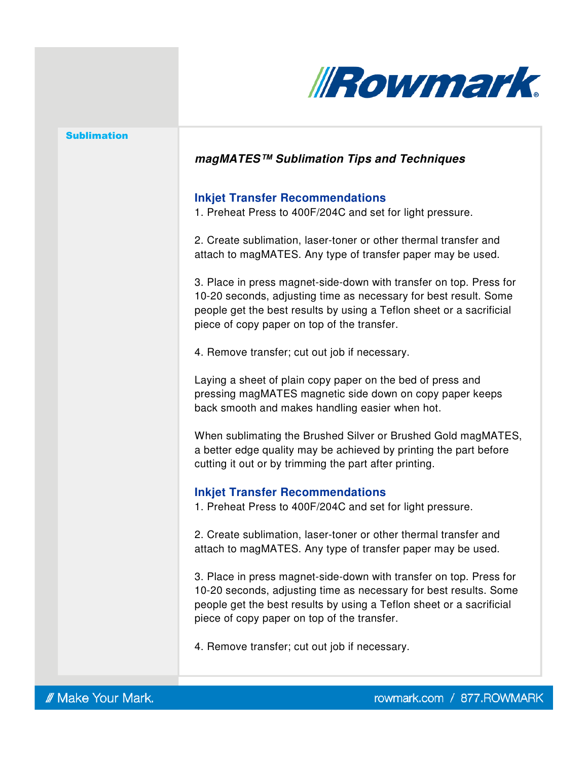

## **magMATES™ Sublimation Tips and Techniques**

### **Inkjet Transfer Recommendations**

1. Preheat Press to 400F/204C and set for light pressure.

2. Create sublimation, laser-toner or other thermal transfer and attach to magMATES. Any type of transfer paper may be used.

3. Place in press magnet-side-down with transfer on top. Press for 10-20 seconds, adjusting time as necessary for best result. Some people get the best results by using a Teflon sheet or a sacrificial piece of copy paper on top of the transfer.

4. Remove transfer; cut out job if necessary.

Laying a sheet of plain copy paper on the bed of press and pressing magMATES magnetic side down on copy paper keeps back smooth and makes handling easier when hot.

When sublimating the Brushed Silver or Brushed Gold magMATES, a better edge quality may be achieved by printing the part before cutting it out or by trimming the part after printing.

### **Inkjet Transfer Recommendations**

1. Preheat Press to 400F/204C and set for light pressure.

2. Create sublimation, laser-toner or other thermal transfer and attach to magMATES. Any type of transfer paper may be used.

3. Place in press magnet-side-down with transfer on top. Press for 10-20 seconds, adjusting time as necessary for best results. Some people get the best results by using a Teflon sheet or a sacrificial piece of copy paper on top of the transfer.

4. Remove transfer; cut out job if necessary.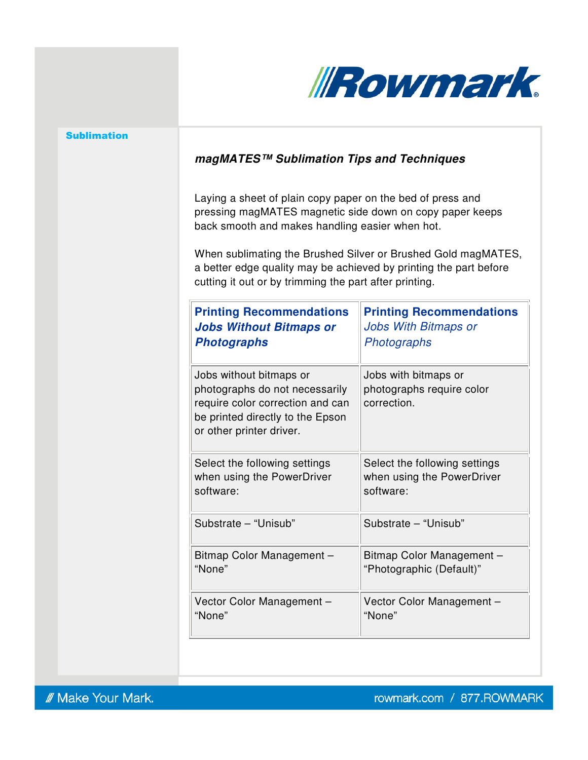

# **magMATES™ Sublimation Tips and Techniques**

Laying a sheet of plain copy paper on the bed of press and pressing magMATES magnetic side down on copy paper keeps back smooth and makes handling easier when hot.

When sublimating the Brushed Silver or Brushed Gold magMATES, a better edge quality may be achieved by printing the part before cutting it out or by trimming the part after printing.

| <b>Printing Recommendations</b>                                                                                                                               | <b>Printing Recommendations</b>                                  |
|---------------------------------------------------------------------------------------------------------------------------------------------------------------|------------------------------------------------------------------|
| <b>Jobs Without Bitmaps or</b>                                                                                                                                | Jobs With Bitmaps or                                             |
| <b>Photographs</b>                                                                                                                                            | Photographs                                                      |
| Jobs without bitmaps or<br>photographs do not necessarily<br>require color correction and can<br>be printed directly to the Epson<br>or other printer driver. | Jobs with bitmaps or<br>photographs require color<br>correction. |
| Select the following settings                                                                                                                                 | Select the following settings                                    |
| when using the PowerDriver                                                                                                                                    | when using the PowerDriver                                       |
| software:                                                                                                                                                     | software:                                                        |
| Substrate - "Unisub"                                                                                                                                          | Substrate - "Unisub"                                             |
| Bitmap Color Management -                                                                                                                                     | Bitmap Color Management -                                        |
| "None"                                                                                                                                                        | "Photographic (Default)"                                         |
| Vector Color Management -                                                                                                                                     | Vector Color Management -                                        |
| "None"                                                                                                                                                        | "None"                                                           |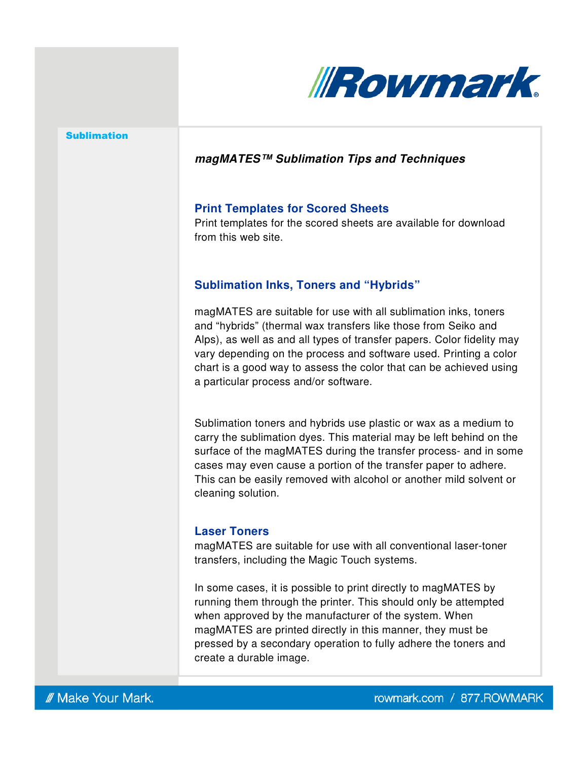

## **magMATES™ Sublimation Tips and Techniques**

#### **Print Templates for Scored Sheets**

Print templates for the scored sheets are available for download from this web site.

## **Sublimation Inks, Toners and "Hybrids"**

magMATES are suitable for use with all sublimation inks, toners and "hybrids" (thermal wax transfers like those from Seiko and Alps), as well as and all types of transfer papers. Color fidelity may vary depending on the process and software used. Printing a color chart is a good way to assess the color that can be achieved using a particular process and/or software.

Sublimation toners and hybrids use plastic or wax as a medium to carry the sublimation dyes. This material may be left behind on the surface of the magMATES during the transfer process- and in some cases may even cause a portion of the transfer paper to adhere. This can be easily removed with alcohol or another mild solvent or cleaning solution.

## **Laser Toners**

magMATES are suitable for use with all conventional laser-toner transfers, including the Magic Touch systems.

In some cases, it is possible to print directly to magMATES by running them through the printer. This should only be attempted when approved by the manufacturer of the system. When magMATES are printed directly in this manner, they must be pressed by a secondary operation to fully adhere the toners and create a durable image.